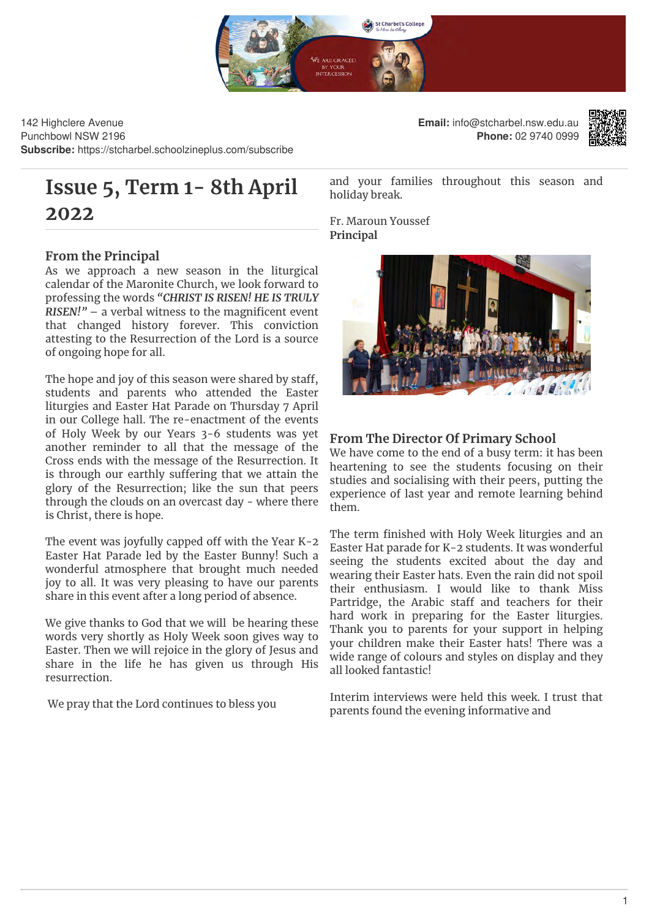

142 Highclere Avenue Punchbowl NSW 2196 **Subscribe:** https://stcharbel.schoolzineplus.com/subscribe

# **Issue 5, Term 1- 8th April 2022**

# **From the Principal**

As we approach a new season in the liturgical calendar of the Maronite Church, we look forward to professing the words *"CHRIST IS RISEN! HE IS TRULY*  $RISEN!$ <sup>"</sup> – a verbal witness to the magnificent event that changed history forever. This conviction attesting to the Resurrection of the Lord is a source of ongoing hope for all.

The hope and joy of this season were shared by staff, students and parents who attended the Easter liturgies and Easter Hat Parade on Thursday 7 April in our College hall. The re-enactment of the events of Holy Week by our Years 3-6 students was yet another reminder to all that the message of the Cross ends with the message of the Resurrection. It is through our earthly suffering that we attain the glory of the Resurrection; like the sun that peers through the clouds on an overcast day - where there is Christ, there is hope.

The event was joyfully capped off with the Year  $K-2$ Easter Hat Parade led by the Easter Bunny! Such a wonderful atmosphere that brought much needed joy to all. It was very pleasing to have our parents share in this event after a long period of absence.

We give thanks to God that we will be hearing these words very shortly as Holy Week soon gives way to Easter. Then we will rejoice in the glory of Jesus and share in the life he has given us through His resurrection.

We pray that the Lord continues to bless you

**Email:** info@stcharbel.nsw.edu.au **Phone:** 02 9740 0999



and your families throughout this season and holiday break.

Fr. Maroun Youssef **Principal**



# **From The Director Of Primary School**

We have come to the end of a busy term: it has been heartening to see the students focusing on their studies and socialising with their peers, putting the experience of last year and remote learning behind them.

The term finished with Holy Week liturgies and an Easter Hat parade for K-2 students. It was wonderful seeing the students excited about the day and wearing their Easter hats. Even the rain did not spoil their enthusiasm. I would like to thank Miss Partridge, the Arabic staff and teachers for their hard work in preparing for the Easter liturgies. Thank you to parents for your support in helping your children make their Easter hats! There was a wide range of colours and styles on display and they all looked fantastic!

Interim interviews were held this week. I trust that parents found the evening informative and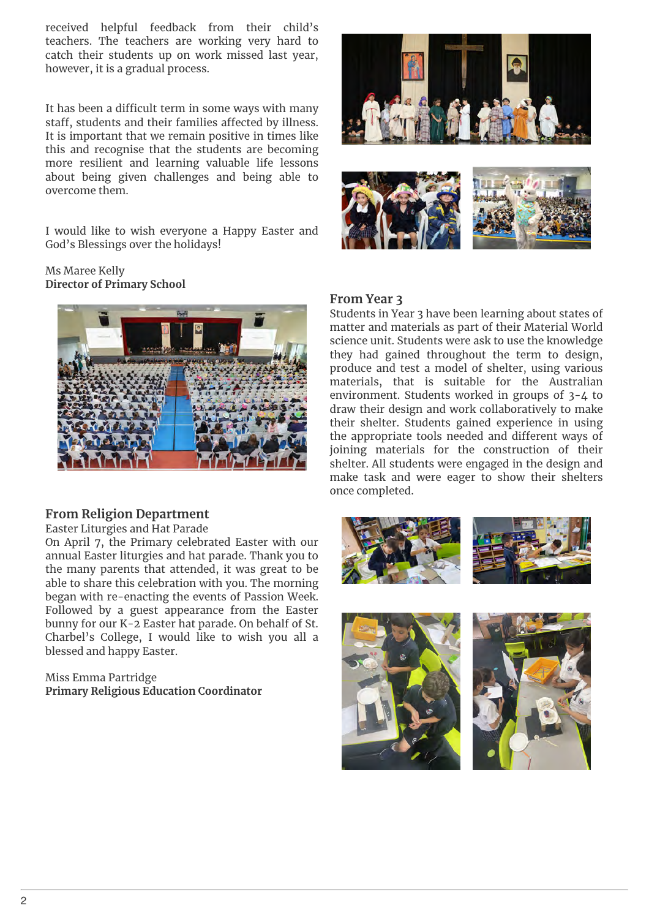received helpful feedback from their child's teachers. The teachers are working very hard to catch their students up on work missed last year, however, it is a gradual process.

It has been a difficult term in some ways with many staff, students and their families affected by illness. It is important that we remain positive in times like this and recognise that the students are becoming more resilient and learning valuable life lessons about being given challenges and being able to overcome them.

I would like to wish everyone a Happy Easter and God's Blessings over the holidays!

## Ms Maree Kelly **Director of Primary School**



# **From Religion Department**

Easter Liturgies and Hat Parade

On April 7, the Primary celebrated Easter with our annual Easter liturgies and hat parade. Thank you to the many parents that attended, it was great to be able to share this celebration with you. The morning began with re-enacting the events of Passion Week. Followed by a guest appearance from the Easter bunny for our K-2 Easter hat parade. On behalf of St. Charbel's College, I would like to wish you all a blessed and happy Easter.

Miss Emma Partridge **Primary Religious Education Coordinator** 





# **From Year 3**

Students in Year 3 have been learning about states of matter and materials as part of their Material World science unit. Students were ask to use the knowledge they had gained throughout the term to design, produce and test a model of shelter, using various materials, that is suitable for the Australian environment. Students worked in groups of 3-4 to draw their design and work collaboratively to make their shelter. Students gained experience in using the appropriate tools needed and different ways of joining materials for the construction of their shelter. All students were engaged in the design and make task and were eager to show their shelters once completed.





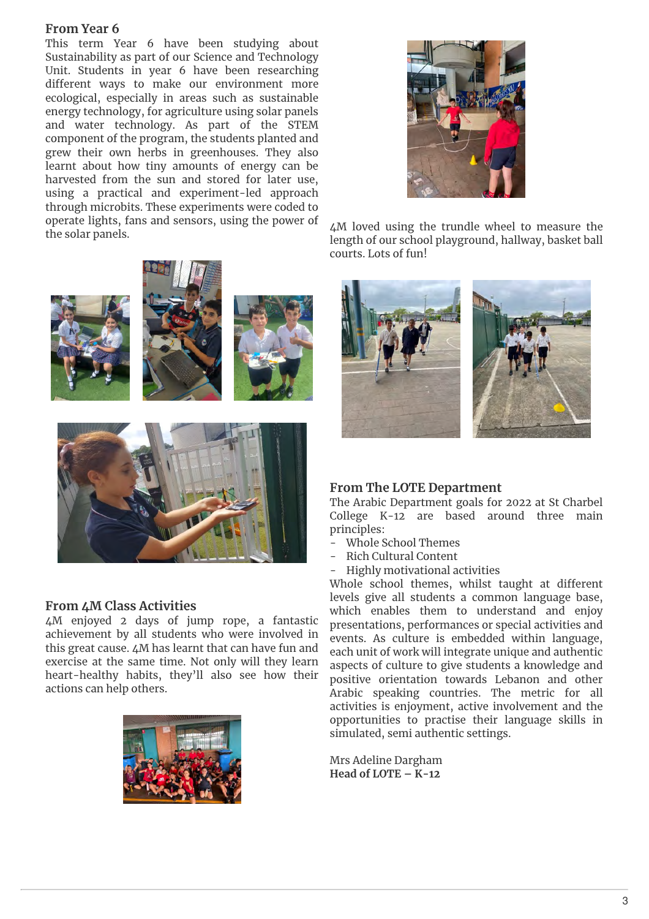# **From Year 6**

This term Year 6 have been studying about Sustainability as part of our Science and Technology Unit. Students in year 6 have been researching different ways to make our environment more ecological, especially in areas such as sustainable energy technology, for agriculture using solar panels and water technology. As part of the STEM component of the program, the students planted and grew their own herbs in greenhouses. They also learnt about how tiny amounts of energy can be harvested from the sun and stored for later use, using a practical and experiment-led approach through microbits. These experiments were coded to operate lights, fans and sensors, using the power of the solar panels.



4M loved using the trundle wheel to measure the length of our school playground, hallway, basket ball courts. Lots of fun!



# **From The LOTE Department**

The Arabic Department goals for 2022 at St Charbel College K-12 are based around three main principles:

- Whole School Themes
- Rich Cultural Content
- Highly motivational activities

Whole school themes, whilst taught at different levels give all students a common language base, which enables them to understand and enjoy presentations, performances or special activities and events. As culture is embedded within language, each unit of work will integrate unique and authentic aspects of culture to give students a knowledge and positive orientation towards Lebanon and other Arabic speaking countries. The metric for all activities is enjoyment, active involvement and the opportunities to practise their language skills in simulated, semi authentic settings.

Mrs Adeline Dargham **Head of LOTE – K-12**



4M enjoyed 2 days of jump rope, a fantastic achievement by all students who were involved in this great cause. 4M has learnt that can have fun and exercise at the same time. Not only will they learn heart-healthy habits, they'll also see how their actions can help others.

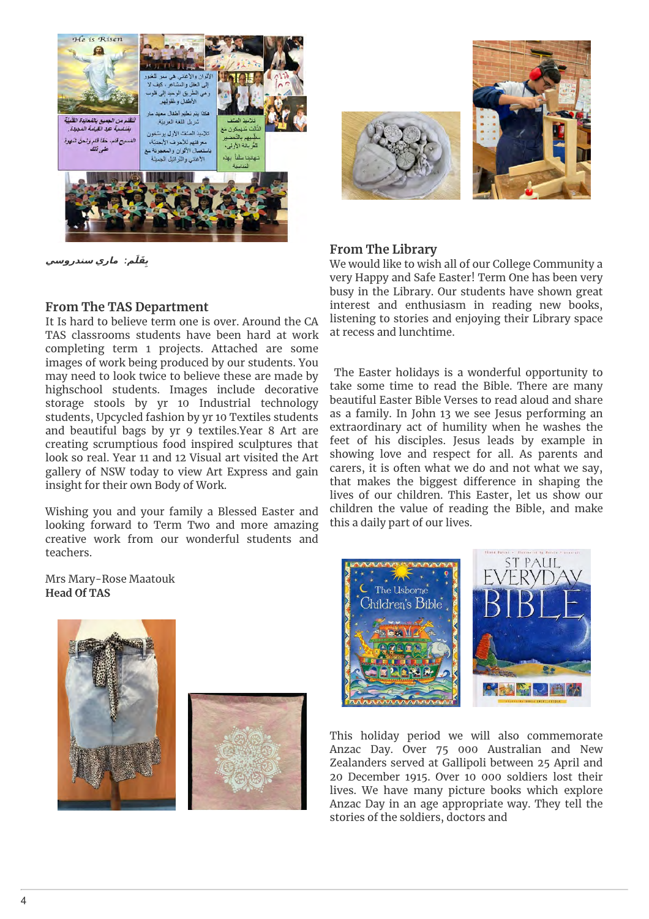

**َلَم ِق <sup>ب</sup>** *:* **يرام يسوردنس**



### **From The Library**

We would like to wish all of our College Community a very Happy and Safe Easter! Term One has been very busy in the Library. Our students have shown great interest and enthusiasm in reading new books, listening to stories and enjoying their Library space at recess and lunchtime.

 The Easter holidays is a wonderful opportunity to take some time to read the Bible. There are many beautiful Easter Bible Verses to read aloud and share as a family. In John 13 we see Jesus performing an extraordinary act of humility when he washes the feet of his disciples. Jesus leads by example in showing love and respect for all. As parents and carers, it is often what we do and not what we say, that makes the biggest difference in shaping the lives of our children. This Easter, let us show our children the value of reading the Bible, and make this a daily part of our lives.

# **From The TAS Department**

It Is hard to believe term one is over. Around the CA TAS classrooms students have been hard at work completing term 1 projects. Attached are some images of work being produced by our students. You may need to look twice to believe these are made by highschool students. Images include decorative storage stools by yr 10 Industrial technology students, Upcycled fashion by yr 10 Textiles students and beautiful bags by yr 9 textiles.Year 8 Art are creating scrumptious food inspired sculptures that look so real. Year 11 and 12 Visual art visited the Art gallery of NSW today to view Art Express and gain insight for their own Body of Work.

Wishing you and your family a Blessed Easter and looking forward to Term Two and more amazing creative work from our wonderful students and teachers.

Mrs Mary-Rose Maatouk **Head Of TAS**





This holiday period we will also commemorate Anzac Day. Over 75 000 Australian and New Zealanders served at Gallipoli between 25 April and 20 December 1915. Over 10 000 soldiers lost their lives. We have many picture books which explore Anzac Day in an age appropriate way. They tell the stories of the soldiers, doctors and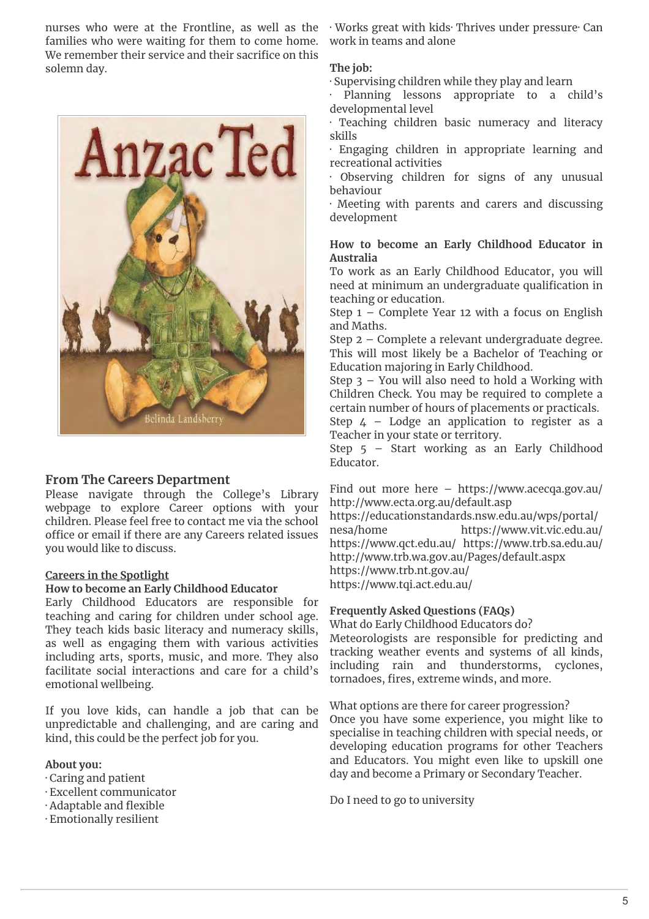families who were waiting for them to come home. We remember their service and their sacrifice on this solemn day.



### **From The Careers Department**

Please navigate through the College's Library webpage to explore Career options with your children. Please feel free to contact me via the school nttps://equality.com/<br>effice an amail if there are any Canagua valeted issues nesa/home office or email if there are any Careers related issues you would like to discuss.

#### **Careers in the Spotlight**

#### **How to become an Early Childhood Educator**

Early Childhood Educators are responsible for teaching and caring for children under school age. They teach kids basic literacy and numeracy skills, as well as engaging them with various activities including arts, sports, music, and more. They also facilitate social interactions and care for a child's emotional wellbeing.

If you love kids, can handle a job that can be unpredictable and challenging, and are caring and kind, this could be the perfect job for you.

### **About you:**

- · Caring and patient
- · Excellent communicator
- · Adaptable and flexible
- · Emotionally resilient

nurses who were at the Frontline, as well as the · Works great with kids· Thrives under pressure· Can work in teams and alone

#### **The job:**

· Supervising children while they play and learn

Planning lessons appropriate to a child's developmental level

· Teaching children basic numeracy and literacy skills

· Engaging children in appropriate learning and recreational activities

Observing children for signs of any unusual behaviour

· Meeting with parents and carers and discussing development

## **How to become an Early Childhood Educator in Australia**

To work as an Early Childhood Educator, you will need at minimum an undergraduate qualification in teaching or education.

Step 1 – Complete Year 12 with a focus on English and Maths.

Step 2 – Complete a relevant undergraduate degree. This will most likely be a Bachelor of Teaching or Education majoring in Early Childhood.

Step 3 – You will also need to hold a Working with Children Check. You may be required to complete a certain number of hours of placements or practicals.

Step  $4$  – Lodge an application to register as a Teacher in your state or territory.

Step 5 – Start working as an Early Childhood Educator.

Find out more here – https://www.acecqa.gov.au/ http://www.ecta.org.au/default.asp

https://educationstandards.nsw.edu.au/wps/portal/ https://www.vit.vic.edu.au/ https://www.qct.edu.au/ https://www.trb.sa.edu.au/ http://www.trb.wa.gov.au/Pages/default.aspx https://www.trb.nt.gov.au/ https://www.tqi.act.edu.au/

### **Frequently Asked Questions (FAQs)**

What do Early Childhood Educators do? Meteorologists are responsible for predicting and tracking weather events and systems of all kinds, including rain and thunderstorms, cyclones, tornadoes, fires, extreme winds, and more.

What options are there for career progression? Once you have some experience, you might like to specialise in teaching children with special needs, or developing education programs for other Teachers and Educators. You might even like to upskill one day and become a Primary or Secondary Teacher.

Do I need to go to university